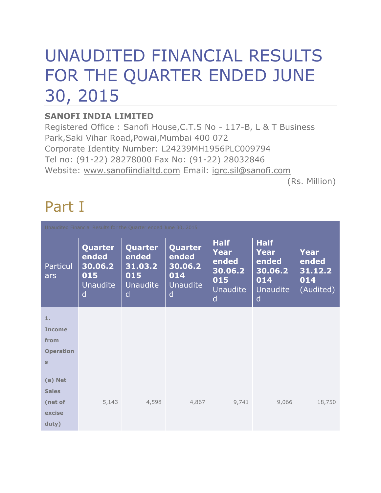# UNAUDITED FINANCIAL RESULTS FOR THE QUARTER ENDED JUNE 30, 2015

#### **SANOFI INDIA LIMITED**

Registered Office : Sanofi House,C.T.S No - 117-B, L & T Business Park,Saki Vihar Road,Powai,Mumbai 400 072 Corporate Identity Number: L24239MH1956PLC009794 Tel no: (91-22) 28278000 Fax No: (91-22) 28032846 Website: www.sanofiindialtd.com Email: igrc.sil@sanofi.com

(Rs. Million)

# Part I

| Unaudited Financial Results for the Quarter ended June 30, 2015 |                                                            |                                                            |                                                            |                                                                               |                                                                        |                                                     |
|-----------------------------------------------------------------|------------------------------------------------------------|------------------------------------------------------------|------------------------------------------------------------|-------------------------------------------------------------------------------|------------------------------------------------------------------------|-----------------------------------------------------|
| Particul<br>ars                                                 | Quarter<br>ended<br>30.06.2<br>015<br><b>Unaudite</b><br>d | Quarter<br>ended<br>31.03.2<br>015<br><b>Unaudite</b><br>d | Quarter<br>ended<br>30.06.2<br>014<br><b>Unaudite</b><br>d | <b>Half</b><br><b>Year</b><br>ended<br>30.06.2<br>015<br><b>Unaudite</b><br>d | <b>Half</b><br>Year<br>ended<br>30.06.2<br>014<br><b>Unaudite</b><br>d | <b>Year</b><br>ended<br>31.12.2<br>014<br>(Audited) |
| 1.                                                              |                                                            |                                                            |                                                            |                                                                               |                                                                        |                                                     |
| <b>Income</b>                                                   |                                                            |                                                            |                                                            |                                                                               |                                                                        |                                                     |
| from                                                            |                                                            |                                                            |                                                            |                                                                               |                                                                        |                                                     |
| <b>Operation</b>                                                |                                                            |                                                            |                                                            |                                                                               |                                                                        |                                                     |
| $\mathsf{s}$                                                    |                                                            |                                                            |                                                            |                                                                               |                                                                        |                                                     |
| (a) Net<br><b>Sales</b>                                         |                                                            |                                                            |                                                            |                                                                               |                                                                        |                                                     |
| (net of<br>excise                                               | 5,143                                                      | 4,598                                                      | 4,867                                                      | 9,741                                                                         | 9,066                                                                  | 18,750                                              |
| duty)                                                           |                                                            |                                                            |                                                            |                                                                               |                                                                        |                                                     |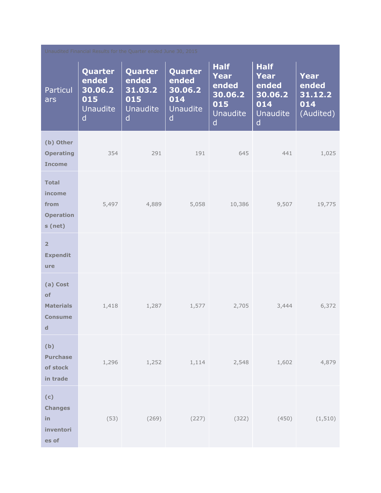| Unaudited Financial Results for the Quarter ended June 30, 2015     |                                                                       |                                                            |                                                            |                                                                               |                                                                                          |                                                     |
|---------------------------------------------------------------------|-----------------------------------------------------------------------|------------------------------------------------------------|------------------------------------------------------------|-------------------------------------------------------------------------------|------------------------------------------------------------------------------------------|-----------------------------------------------------|
| <b>Particul</b><br>ars                                              | Quarter<br>ended<br>30.06.2<br>015<br><b>Unaudite</b><br>$\mathsf{d}$ | Quarter<br>ended<br>31.03.2<br>015<br><b>Unaudite</b><br>d | Quarter<br>ended<br>30.06.2<br>014<br><b>Unaudite</b><br>d | <b>Half</b><br><b>Year</b><br>ended<br>30.06.2<br>015<br><b>Unaudite</b><br>d | <b>Half</b><br><b>Year</b><br>ended<br>30.06.2<br>014<br><b>Unaudite</b><br>$\mathsf{d}$ | <b>Year</b><br>ended<br>31.12.2<br>014<br>(Audited) |
| (b) Other<br><b>Operating</b><br><b>Income</b>                      | 354                                                                   | 291                                                        | 191                                                        | 645                                                                           | 441                                                                                      | 1,025                                               |
| <b>Total</b><br>income<br>from<br><b>Operation</b><br>s (net)       | 5,497                                                                 | 4,889                                                      | 5,058                                                      | 10,386                                                                        | 9,507                                                                                    | 19,775                                              |
| $\overline{2}$<br><b>Expendit</b><br>ure                            |                                                                       |                                                            |                                                            |                                                                               |                                                                                          |                                                     |
| (a) Cost<br>of<br><b>Materials</b><br><b>Consume</b><br>$\mathbf d$ | 1,418                                                                 | 1,287                                                      | 1,577                                                      | 2,705                                                                         | 3,444                                                                                    | 6,372                                               |
| (b)<br><b>Purchase</b><br>of stock<br>in trade                      | 1,296                                                                 |                                                            | $1,252$ $1,114$                                            | 2,548                                                                         | 1,602                                                                                    | 4,879                                               |
| (c)<br><b>Changes</b><br>in<br>inventori<br>es of                   | (53)                                                                  | (269)                                                      | (227)                                                      | (322)                                                                         | (450)                                                                                    | (1, 510)                                            |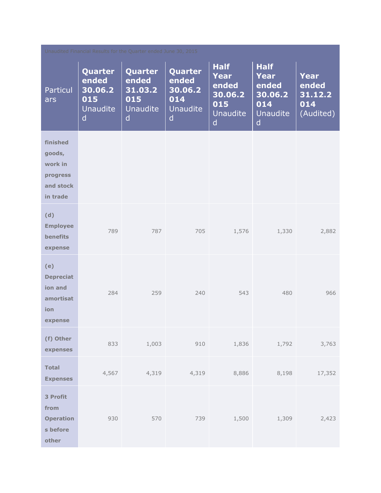| Unaudited Financial Results for the Quarter ended June 30, 2015    |                                                            |                                                            |                                                            |                                                                               |                                                                               |                                              |
|--------------------------------------------------------------------|------------------------------------------------------------|------------------------------------------------------------|------------------------------------------------------------|-------------------------------------------------------------------------------|-------------------------------------------------------------------------------|----------------------------------------------|
| <b>Particul</b><br>ars                                             | Quarter<br>ended<br>30.06.2<br>015<br><b>Unaudite</b><br>d | Quarter<br>ended<br>31.03.2<br>015<br><b>Unaudite</b><br>d | Quarter<br>ended<br>30.06.2<br>014<br><b>Unaudite</b><br>d | <b>Half</b><br><b>Year</b><br>ended<br>30.06.2<br>015<br><b>Unaudite</b><br>d | <b>Half</b><br><b>Year</b><br>ended<br>30.06.2<br>014<br><b>Unaudite</b><br>d | Year<br>ended<br>31.12.2<br>014<br>(Audited) |
| finished<br>goods,<br>work in<br>progress<br>and stock<br>in trade |                                                            |                                                            |                                                            |                                                                               |                                                                               |                                              |
| (d)<br><b>Employee</b><br><b>benefits</b><br>expense               | 789                                                        | 787                                                        | 705                                                        | 1,576                                                                         | 1,330                                                                         | 2,882                                        |
| (e)<br><b>Depreciat</b><br>ion and<br>amortisat<br>ion<br>expense  | 284                                                        | 259                                                        | 240                                                        | 543                                                                           | 480                                                                           | 966                                          |
| (f) Other<br>expenses                                              | 833                                                        | 1,003                                                      | 910                                                        | 1,836                                                                         | 1,792                                                                         | 3,763                                        |
| <b>Total</b><br><b>Expenses</b>                                    | 4,567                                                      | 4,319                                                      | 4,319                                                      | 8,886                                                                         | 8,198                                                                         | 17,352                                       |
| 3 Profit<br>from<br><b>Operation</b><br>s before<br>other          | 930                                                        | 570                                                        | 739                                                        | 1,500                                                                         | 1,309                                                                         | 2,423                                        |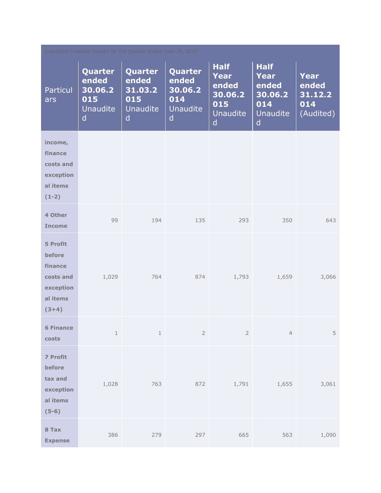| Unaudited Financial Results for the Quarter ended June 30, 2015                |                                                                |                                                                       |                                                                       |                                                                                          |                                                                                          |                                              |
|--------------------------------------------------------------------------------|----------------------------------------------------------------|-----------------------------------------------------------------------|-----------------------------------------------------------------------|------------------------------------------------------------------------------------------|------------------------------------------------------------------------------------------|----------------------------------------------|
| Particul<br>ars                                                                | Quarter<br>ended<br>30.06.2<br>015<br>Unaudite<br>$\mathsf{d}$ | Quarter<br>ended<br>31.03.2<br>015<br><b>Unaudite</b><br>$\mathsf{d}$ | Quarter<br>ended<br>30.06.2<br>014<br><b>Unaudite</b><br>$\mathsf{d}$ | <b>Half</b><br><b>Year</b><br>ended<br>30.06.2<br>015<br><b>Unaudite</b><br>$\mathsf{d}$ | <b>Half</b><br><b>Year</b><br>ended<br>30.06.2<br>014<br><b>Unaudite</b><br>$\mathsf{d}$ | Year<br>ended<br>31.12.2<br>014<br>(Audited) |
| income,<br>finance<br>costs and<br>exception<br>al items<br>$(1-2)$            |                                                                |                                                                       |                                                                       |                                                                                          |                                                                                          |                                              |
| 4 Other<br><b>Income</b>                                                       | 99                                                             | 194                                                                   | 135                                                                   | 293                                                                                      | 350                                                                                      | 643                                          |
| 5 Profit<br>before<br>finance<br>costs and<br>exception<br>al items<br>$(3+4)$ | 1,029                                                          | 764                                                                   | 874                                                                   | 1,793                                                                                    | 1,659                                                                                    | 3,066                                        |
| <b>6 Finance</b><br>costs                                                      | $\,1\,$                                                        | $\,1$                                                                 | $\sqrt{2}$                                                            | $\overline{2}$                                                                           | $\overline{4}$                                                                           | 5                                            |
| 7 Profit<br>before<br>tax and<br>exception<br>al items<br>$(5-6)$              | 1,028                                                          | 763                                                                   | 872                                                                   | 1,791                                                                                    | 1,655                                                                                    | 3,061                                        |
| 8 Tax<br><b>Expense</b>                                                        | 386                                                            | 279                                                                   | 297                                                                   | 665                                                                                      | 563                                                                                      | 1,090                                        |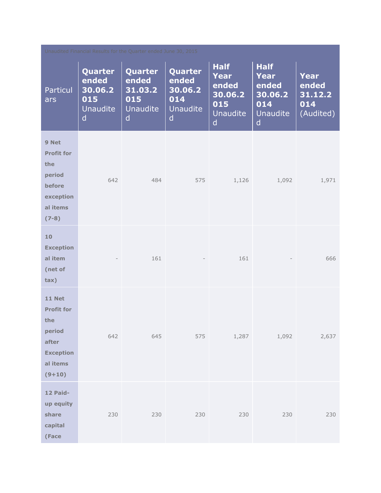| Unaudited Financial Results for the Quarter ended June 30, 2015                                          |                                                                       |                                                                       |                                                                       |                                                                               |                                                                                          |                                              |
|----------------------------------------------------------------------------------------------------------|-----------------------------------------------------------------------|-----------------------------------------------------------------------|-----------------------------------------------------------------------|-------------------------------------------------------------------------------|------------------------------------------------------------------------------------------|----------------------------------------------|
| <b>Particul</b><br>ars                                                                                   | Quarter<br>ended<br>30.06.2<br>015<br><b>Unaudite</b><br>$\mathsf{d}$ | Quarter<br>ended<br>31.03.2<br>015<br><b>Unaudite</b><br>$\mathsf{d}$ | Quarter<br>ended<br>30.06.2<br>014<br><b>Unaudite</b><br>$\mathsf{d}$ | <b>Half</b><br><b>Year</b><br>ended<br>30.06.2<br>015<br><b>Unaudite</b><br>d | <b>Half</b><br><b>Year</b><br>ended<br>30.06.2<br>014<br><b>Unaudite</b><br>$\mathsf{d}$ | Year<br>ended<br>31.12.2<br>014<br>(Audited) |
| 9 Net<br><b>Profit for</b><br>the<br>period<br>before<br>exception<br>al items<br>$(7-8)$                | 642                                                                   | 484                                                                   | 575                                                                   | 1,126                                                                         | 1,092                                                                                    | 1,971                                        |
| 10<br><b>Exception</b><br>al item<br>(net of<br>tax)                                                     |                                                                       | 161                                                                   |                                                                       | 161                                                                           |                                                                                          | 666                                          |
| <b>11 Net</b><br><b>Profit for</b><br>the<br>period<br>after<br><b>Exception</b><br>al items<br>$(9+10)$ | 642                                                                   | 645                                                                   | 575                                                                   | 1,287                                                                         | 1,092                                                                                    | 2,637                                        |
| 12 Paid-<br>up equity<br>share<br>capital<br>(Face                                                       | 230                                                                   | 230                                                                   | 230                                                                   | 230                                                                           | 230                                                                                      | 230                                          |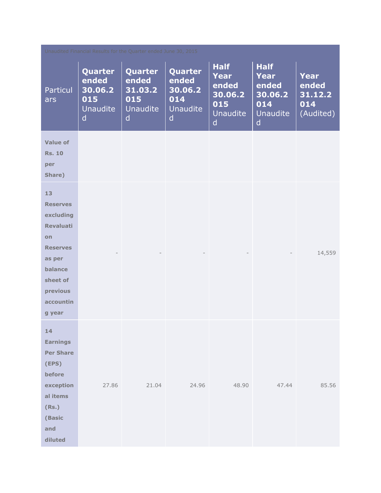| Unaudited Financial Results for the Quarter ended June 30, 2015                                                                                            |                                                                       |                                                            |                                                                |                                                                               |                                                                                          |                                                     |
|------------------------------------------------------------------------------------------------------------------------------------------------------------|-----------------------------------------------------------------------|------------------------------------------------------------|----------------------------------------------------------------|-------------------------------------------------------------------------------|------------------------------------------------------------------------------------------|-----------------------------------------------------|
| <b>Particul</b><br>ars                                                                                                                                     | Quarter<br>ended<br>30.06.2<br>015<br><b>Unaudite</b><br>$\mathsf{d}$ | Quarter<br>ended<br>31.03.2<br>015<br><b>Unaudite</b><br>d | Quarter<br>ended<br>30.06.2<br>014<br>Unaudite<br>$\mathsf{d}$ | <b>Half</b><br><b>Year</b><br>ended<br>30.06.2<br>015<br><b>Unaudite</b><br>d | <b>Half</b><br><b>Year</b><br>ended<br>30.06.2<br>014<br><b>Unaudite</b><br>$\mathsf{d}$ | <b>Year</b><br>ended<br>31.12.2<br>014<br>(Audited) |
| <b>Value of</b><br><b>Rs. 10</b><br>per<br>Share)                                                                                                          |                                                                       |                                                            |                                                                |                                                                               |                                                                                          |                                                     |
| 13<br><b>Reserves</b><br>excluding<br><b>Revaluati</b><br><b>on</b><br><b>Reserves</b><br>as per<br>balance<br>sheet of<br>previous<br>accountin<br>g year |                                                                       |                                                            |                                                                |                                                                               |                                                                                          | 14,559                                              |
| 14<br><b>Earnings</b><br><b>Per Share</b><br>(EPS)<br>before<br>exception<br>al items<br>(Rs.)<br>(Basic<br>and<br>diluted                                 | 27.86                                                                 | 21.04                                                      | 24.96                                                          | 48.90                                                                         | 47.44                                                                                    | 85.56                                               |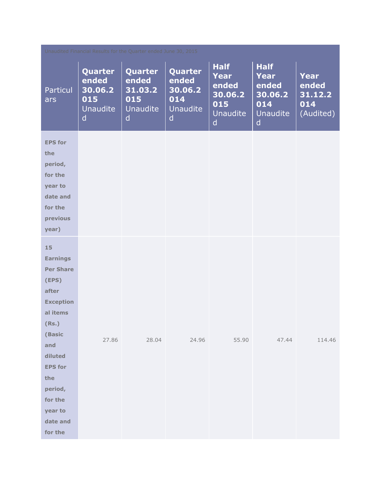| Unaudited Financial Results for the Quarter ended June 30, 2015                                                                                                                                                   |                                                            |                                                     |                                                                       |                                                                                          |                                                                                          |                                                     |
|-------------------------------------------------------------------------------------------------------------------------------------------------------------------------------------------------------------------|------------------------------------------------------------|-----------------------------------------------------|-----------------------------------------------------------------------|------------------------------------------------------------------------------------------|------------------------------------------------------------------------------------------|-----------------------------------------------------|
| Particul<br>ars                                                                                                                                                                                                   | Quarter<br>ended<br>30.06.2<br>015<br><b>Unaudite</b><br>d | Quarter<br>ended<br>31.03.2<br>015<br>Unaudite<br>d | Quarter<br>ended<br>30.06.2<br>014<br><b>Unaudite</b><br>$\mathsf{d}$ | <b>Half</b><br><b>Year</b><br>ended<br>30.06.2<br>015<br><b>Unaudite</b><br>$\mathsf{d}$ | <b>Half</b><br><b>Year</b><br>ended<br>30.06.2<br>014<br><b>Unaudite</b><br>$\mathsf{d}$ | <b>Year</b><br>ended<br>31.12.2<br>014<br>(Audited) |
| <b>EPS for</b><br>the<br>period,<br>for the<br>year to<br>date and<br>for the<br>previous<br>year)                                                                                                                |                                                            |                                                     |                                                                       |                                                                                          |                                                                                          |                                                     |
| 15<br><b>Earnings</b><br><b>Per Share</b><br>(EPS)<br>after<br><b>Exception</b><br>al items<br>(Rs.)<br>(Basic<br>and<br>diluted<br><b>EPS for</b><br>the<br>period,<br>for the<br>year to<br>date and<br>for the | 27.86                                                      | 28.04                                               | 24.96                                                                 | 55.90                                                                                    | 47.44                                                                                    | 114.46                                              |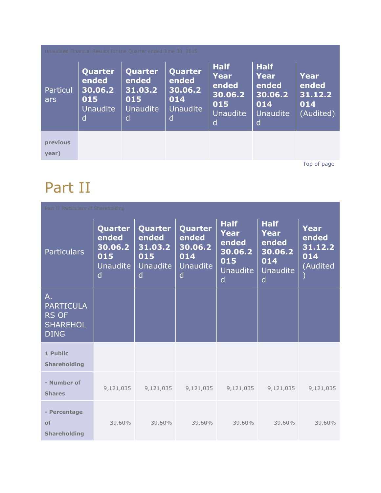| Unaudited Financial Results for the Quarter ended June 30, 2015 |                                                            |                                                            |                                                            |                                                                        |                                                                        |                                                     |
|-----------------------------------------------------------------|------------------------------------------------------------|------------------------------------------------------------|------------------------------------------------------------|------------------------------------------------------------------------|------------------------------------------------------------------------|-----------------------------------------------------|
| Particul<br>ars                                                 | Quarter<br>ended<br>30.06.2<br>015<br><b>Unaudite</b><br>d | Quarter<br>ended<br>31.03.2<br>015<br><b>Unaudite</b><br>d | Quarter<br>ended<br>30.06.2<br>014<br><b>Unaudite</b><br>d | <b>Half</b><br>Year<br>ended<br>30.06.2<br>015<br><b>Unaudite</b><br>d | <b>Half</b><br>Year<br>ended<br>30.06.2<br>014<br><b>Unaudite</b><br>d | <b>Year</b><br>ended<br>31.12.2<br>014<br>(Audited) |
| previous<br>year)                                               |                                                            |                                                            |                                                            |                                                                        |                                                                        |                                                     |

[Top of page](http://www.sanofiindialtd.com/l/pw/en/layout.jsp?cnt=1ECCB994-0756-44F6-8E83-673698DB9535#area_b)

### Part II

| Part II Particulars of Shareholding                                               |                                                     |                                                            |                                                            |                                                                               |                                                                        |                                                    |
|-----------------------------------------------------------------------------------|-----------------------------------------------------|------------------------------------------------------------|------------------------------------------------------------|-------------------------------------------------------------------------------|------------------------------------------------------------------------|----------------------------------------------------|
| <b>Particulars</b>                                                                | Quarter<br>ended<br>30.06.2<br>015<br>Unaudite<br>d | Quarter<br>ended<br>31.03.2<br>015<br><b>Unaudite</b><br>d | Quarter<br>ended<br>30.06.2<br>014<br><b>Unaudite</b><br>d | <b>Half</b><br><b>Year</b><br>ended<br>30.06.2<br>015<br><b>Unaudite</b><br>d | <b>Half</b><br>Year<br>ended<br>30.06.2<br>014<br><b>Unaudite</b><br>d | <b>Year</b><br>ended<br>31.12.2<br>014<br>(Audited |
| $A_{\cdot}$<br><b>PARTICULA</b><br><b>RS OF</b><br><b>SHAREHOL</b><br><b>DING</b> |                                                     |                                                            |                                                            |                                                                               |                                                                        |                                                    |
| 1 Public<br><b>Shareholding</b>                                                   |                                                     |                                                            |                                                            |                                                                               |                                                                        |                                                    |
| - Number of<br><b>Shares</b>                                                      | 9,121,035                                           | 9,121,035                                                  | 9,121,035                                                  | 9,121,035                                                                     | 9,121,035                                                              | 9,121,035                                          |
| - Percentage<br>of<br><b>Shareholding</b>                                         | 39.60%                                              | 39.60%                                                     | 39.60%                                                     | 39.60%                                                                        | 39.60%                                                                 | 39.60%                                             |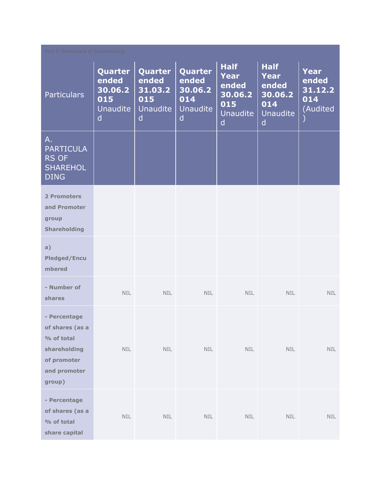| Part II Particulars of Shareholding                                                                    |                                                                       |                                                                |                                                                       |                                                                        |                                                                               |                                                    |
|--------------------------------------------------------------------------------------------------------|-----------------------------------------------------------------------|----------------------------------------------------------------|-----------------------------------------------------------------------|------------------------------------------------------------------------|-------------------------------------------------------------------------------|----------------------------------------------------|
| <b>Particulars</b>                                                                                     | Quarter<br>ended<br>30.06.2<br>015<br><b>Unaudite</b><br>$\mathsf{d}$ | Quarter<br>ended<br>31.03.2<br>015<br>Unaudite<br>$\mathsf{d}$ | Quarter<br>ended<br>30.06.2<br>014<br><b>Unaudite</b><br>$\mathsf{d}$ | <b>Half</b><br>Year<br>ended<br>30.06.2<br>015<br><b>Unaudite</b><br>d | <b>Half</b><br><b>Year</b><br>ended<br>30.06.2<br>014<br><b>Unaudite</b><br>d | <b>Year</b><br>ended<br>31.12.2<br>014<br>(Audited |
| А.<br><b>PARTICULA</b><br><b>RS OF</b><br><b>SHAREHOL</b><br><b>DING</b>                               |                                                                       |                                                                |                                                                       |                                                                        |                                                                               |                                                    |
| <b>2 Promoters</b><br>and Promoter<br>group<br><b>Shareholding</b>                                     |                                                                       |                                                                |                                                                       |                                                                        |                                                                               |                                                    |
| a)<br><b>Pledged/Encu</b><br>mbered                                                                    |                                                                       |                                                                |                                                                       |                                                                        |                                                                               |                                                    |
| - Number of<br>shares                                                                                  | <b>NIL</b>                                                            | <b>NIL</b>                                                     | <b>NIL</b>                                                            | NIL                                                                    | <b>NIL</b>                                                                    | NIL.                                               |
| - Percentage<br>of shares (as a<br>% of total<br>shareholding<br>of promoter<br>and promoter<br>group) | NIL                                                                   | NIL                                                            | NIL                                                                   | NIL                                                                    | NIL                                                                           | NIL                                                |
| - Percentage<br>of shares (as a<br>% of total<br>share capital                                         | NIL                                                                   | $\sf NIL$                                                      | <b>NIL</b>                                                            | <b>NIL</b>                                                             | <b>NIL</b>                                                                    | <b>NIL</b>                                         |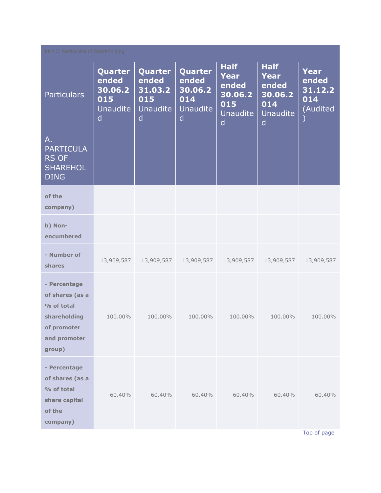| Part II Particulars of Shareholding                                                                    |                                                            |                                                     |                                                            |                                                                                   |                                                                               |                                            |
|--------------------------------------------------------------------------------------------------------|------------------------------------------------------------|-----------------------------------------------------|------------------------------------------------------------|-----------------------------------------------------------------------------------|-------------------------------------------------------------------------------|--------------------------------------------|
| <b>Particulars</b>                                                                                     | Quarter<br>ended<br>30.06.2<br>015<br><b>Unaudite</b><br>d | Quarter<br>ended<br>31.03.2<br>015<br>Unaudite<br>d | Quarter<br>ended<br>30.06.2<br>014<br><b>Unaudite</b><br>d | <b>Half</b><br>Year<br>ended<br>30.06.2<br>015<br><b>Unaudite</b><br>$\mathsf{d}$ | <b>Half</b><br><b>Year</b><br>ended<br>30.06.2<br>014<br><b>Unaudite</b><br>d | Year<br>ended<br>31.12.2<br>014<br>Audited |
| Α.<br><b>PARTICULA</b><br><b>RS OF</b><br><b>SHAREHOL</b><br><b>DING</b>                               |                                                            |                                                     |                                                            |                                                                                   |                                                                               |                                            |
| of the<br>company)                                                                                     |                                                            |                                                     |                                                            |                                                                                   |                                                                               |                                            |
| b) Non-<br>encumbered                                                                                  |                                                            |                                                     |                                                            |                                                                                   |                                                                               |                                            |
| - Number of<br>shares                                                                                  | 13,909,587                                                 | 13,909,587                                          | 13,909,587                                                 | 13,909,587                                                                        | 13,909,587                                                                    | 13,909,587                                 |
| - Percentage<br>of shares (as a<br>% of total<br>shareholding<br>of promoter<br>and promoter<br>group) | 100.00%                                                    | 100.00%                                             | 100.00%                                                    | 100.00%                                                                           | 100.00%                                                                       | 100.00%                                    |
| - Percentage<br>of shares (as a<br>% of total<br>share capital<br>of the<br>company)                   | 60.40%                                                     | 60.40%                                              | 60.40%                                                     | 60.40%                                                                            | 60.40%                                                                        | 60.40%                                     |

[Top of page](http://www.sanofiindialtd.com/l/pw/en/layout.jsp?cnt=1ECCB994-0756-44F6-8E83-673698DB9535#area_b)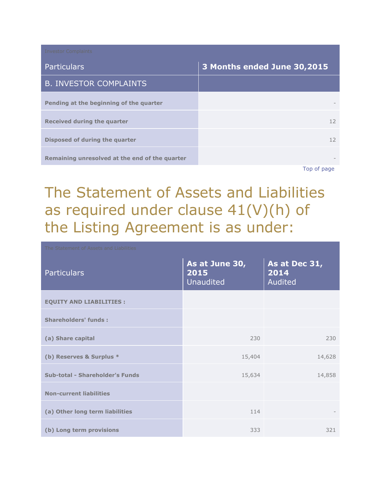| <b>Investor Complaints</b>                     |                             |
|------------------------------------------------|-----------------------------|
| <b>Particulars</b>                             | 3 Months ended June 30,2015 |
| <b>B. INVESTOR COMPLAINTS</b>                  |                             |
| Pending at the beginning of the quarter        |                             |
| Received during the quarter                    | 12                          |
| Disposed of during the quarter                 | 12                          |
| Remaining unresolved at the end of the quarter |                             |
|                                                | Ton of nago                 |

[Top of page](http://www.sanofiindialtd.com/l/pw/en/layout.jsp?cnt=1ECCB994-0756-44F6-8E83-673698DB9535#area_b)

# The Statement of Assets and Liabilities as required under clause 41(V)(h) of the Listing Agreement is as under:

| <b>Particulars</b>              | As at June 30,<br>2015<br><b>Unaudited</b> | As at Dec 31,<br>2014<br><b>Audited</b> |
|---------------------------------|--------------------------------------------|-----------------------------------------|
| <b>EQUITY AND LIABILITIES:</b>  |                                            |                                         |
| <b>Shareholders' funds:</b>     |                                            |                                         |
| (a) Share capital               | 230                                        | 230                                     |
| (b) Reserves & Surplus *        | 15,404                                     | 14,628                                  |
| Sub-total - Shareholder's Funds | 15,634                                     | 14,858                                  |
| <b>Non-current liabilities</b>  |                                            |                                         |
| (a) Other long term liabilities | 114                                        |                                         |
| (b) Long term provisions        | 333                                        | 321                                     |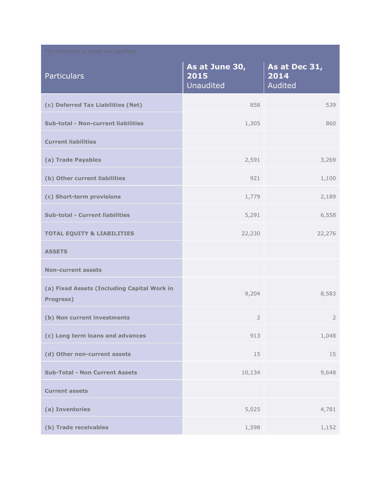| The Statement of Assets and Liabilities                         |                                     |                                  |  |
|-----------------------------------------------------------------|-------------------------------------|----------------------------------|--|
| <b>Particulars</b>                                              | As at June 30,<br>2015<br>Unaudited | As at Dec 31,<br>2014<br>Audited |  |
| (c) Deferred Tax Liabilities (Net)                              | 858                                 | 539                              |  |
| <b>Sub-total - Non-current liabilities</b>                      | 1,305                               | 860                              |  |
| <b>Current liabilities</b>                                      |                                     |                                  |  |
| (a) Trade Payables                                              | 2,591                               | 3,269                            |  |
| (b) Other current liabilities                                   | 921                                 | 1,100                            |  |
| (c) Short-term provisions                                       | 1,779                               | 2,189                            |  |
| <b>Sub-total - Current liabilities</b>                          | 5,291                               | 6,558                            |  |
| <b>TOTAL EQUITY &amp; LIABILITIES</b>                           | 22,230                              | 22,276                           |  |
| <b>ASSETS</b>                                                   |                                     |                                  |  |
| <b>Non-current assets</b>                                       |                                     |                                  |  |
| (a) Fixed Assets (Including Capital Work in<br><b>Progress)</b> | 9,204                               | 8,583                            |  |
| (b) Non current investments                                     | $\overline{2}$                      | $\overline{2}$                   |  |
| (c) Long term loans and advances                                | 913                                 | 1,048                            |  |
| (d) Other non-current assets                                    | 15                                  | 15                               |  |
| <b>Sub-Total - Non Current Assets</b>                           | 10,134                              | 9,648                            |  |
| <b>Current assets</b>                                           |                                     |                                  |  |
| (a) Inventories                                                 | 5,025                               | 4,781                            |  |
| (b) Trade receivables                                           | 1,598                               | 1,152                            |  |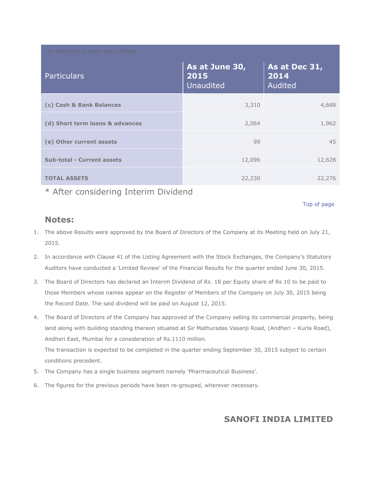| The Statement of Assets and Liabilities |                                     |                                  |  |
|-----------------------------------------|-------------------------------------|----------------------------------|--|
| <b>Particulars</b>                      | As at June 30,<br>2015<br>Unaudited | As at Dec 31,<br>2014<br>Audited |  |
| (c) Cash & Bank Balances                | 3,310                               | 4,688                            |  |
| (d) Short term loans & advances         | 2,064                               | 1,962                            |  |
| (e) Other current assets                | 99                                  | 45                               |  |
| <b>Sub-total - Current assets</b>       | 12,096                              | 12,628                           |  |
| <b>TOTAL ASSETS</b>                     | 22,230                              | 22,276                           |  |

\* After considering Interim Dividend

[Top of page](http://www.sanofiindialtd.com/l/pw/en/layout.jsp?cnt=1ECCB994-0756-44F6-8E83-673698DB9535#area_b)

#### **Notes:**

- 1. The above Results were approved by the Board of Directors of the Company at its Meeting held on July 21, 2015.
- 2. In accordance with Clause 41 of the Listing Agreement with the Stock Exchanges, the Company's Statutory Auditors have conducted a 'Limited Review' of the Financial Results for the quarter ended June 30, 2015.
- 3. The Board of Directors has declared an Interim Dividend of Rs. 18 per Equity share of Rs 10 to be paid to those Members whose names appear on the Register of Members of the Company on July 30, 2015 being the Record Date. The said dividend will be paid on August 12, 2015.
- 4. The Board of Directors of the Company has approved of the Company selling its commercial property, being land along with building standing thereon situated at Sir Mathuradas Vasanji Road, (Andheri - Kurla Road), Andheri East, Mumbai for a consideration of Rs.1110 million.

The transaction is expected to be completed in the quarter ending September 30, 2015 subject to certain conditions precedent.

- 5. The Company has a single business segment namely 'Pharmaceutical Business'.
- 6. The figures for the previous periods have been re-grouped, wherever necessary.

#### **SANOFI INDIA LIMITED**